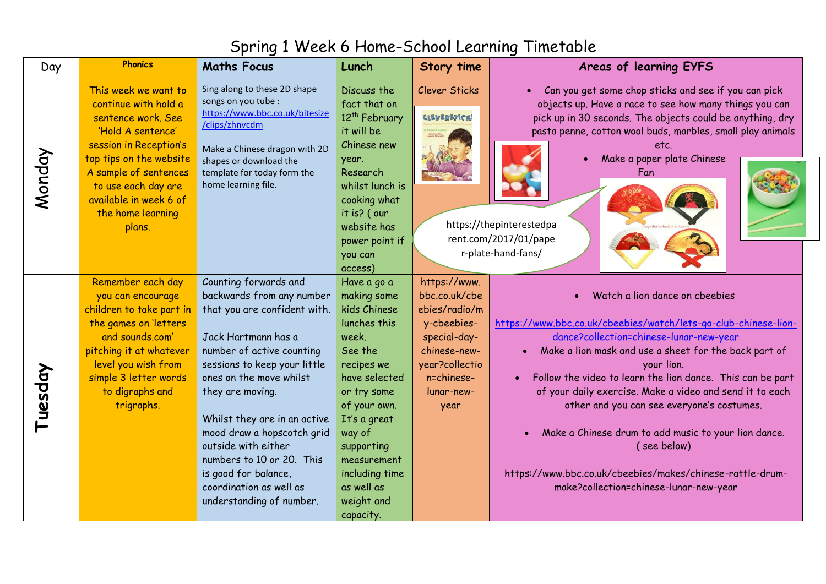## Spring 1 Week 6 Home-School Learning Timetable

| Day     | <b>Phonics</b>                                                                                                                                                                                                                                        | <b>Maths Focus</b>                                                                                                                                                                                                                                                                                                                                                                                                     | Lunch                                                                                                                                                                                                                                                                                | Story time                                                                                                                                          | Areas of learning EYFS                                                                                                                                                                                                                                                                                                                                                                                                                                                                                                                                                                 |
|---------|-------------------------------------------------------------------------------------------------------------------------------------------------------------------------------------------------------------------------------------------------------|------------------------------------------------------------------------------------------------------------------------------------------------------------------------------------------------------------------------------------------------------------------------------------------------------------------------------------------------------------------------------------------------------------------------|--------------------------------------------------------------------------------------------------------------------------------------------------------------------------------------------------------------------------------------------------------------------------------------|-----------------------------------------------------------------------------------------------------------------------------------------------------|----------------------------------------------------------------------------------------------------------------------------------------------------------------------------------------------------------------------------------------------------------------------------------------------------------------------------------------------------------------------------------------------------------------------------------------------------------------------------------------------------------------------------------------------------------------------------------------|
| Monday  | This week we want to<br>continue with hold a<br>sentence work. See<br>'Hold A sentence'<br>session in Reception's<br>top tips on the website<br>A sample of sentences<br>to use each day are<br>available in week 6 of<br>the home learning<br>plans. | Sing along to these 2D shape<br>songs on you tube :<br>https://www.bbc.co.uk/bitesize<br>/clips/zhnvcdm<br>Make a Chinese dragon with 2D<br>shapes or download the<br>template for today form the<br>home learning file.                                                                                                                                                                                               | Discuss the<br>fact that on<br>12 <sup>th</sup> February<br>it will be<br>Chinese new<br>year.<br>Research<br>whilst lunch is<br>cooking what<br>it is? ( our<br>website has<br>power point if                                                                                       | <b>Clever Sticks</b><br><b>CLEVERSTICKS</b>                                                                                                         | Can you get some chop sticks and see if you can pick<br>objects up. Have a race to see how many things you can<br>pick up in 30 seconds. The objects could be anything, dry<br>pasta penne, cotton wool buds, marbles, small play animals<br>etc.<br>Make a paper plate Chinese<br>$\bullet$<br>Fan<br>https://thepinterestedpa<br>rent.com/2017/01/pape<br>r-plate-hand-fans/                                                                                                                                                                                                         |
| Tuesday | Remember each day<br>you can encourage<br>children to take part in<br>the games on letters<br>and sounds.com'<br>pitching it at whatever<br>level you wish from<br>simple 3 letter words<br>to digraphs and<br>trigraphs.                             | Counting forwards and<br>backwards from any number<br>that you are confident with.<br>Jack Hartmann has a<br>number of active counting<br>sessions to keep your little<br>ones on the move whilst<br>they are moving.<br>Whilst they are in an active<br>mood draw a hopscotch grid<br>outside with either<br>numbers to 10 or 20. This<br>is good for balance,<br>coordination as well as<br>understanding of number. | you can<br>access)<br>Have a go a<br>making some<br>kids Chinese<br>lunches this<br>week.<br>See the<br>recipes we<br>have selected<br>or try some<br>of your own.<br>It's a great<br>way of<br>supporting<br>measurement<br>including time<br>as well as<br>weight and<br>capacity. | https://www.<br>bbc.co.uk/cbe<br>ebies/radio/m<br>y-cbeebies-<br>special-day-<br>chinese-new-<br>year?collectio<br>n=chinese-<br>lunar-new-<br>year | Watch a lion dance on cbeebies<br>$\bullet$<br>https://www.bbc.co.uk/cbeebies/watch/lets-go-club-chinese-lion-<br>dance?collection=chinese-lunar-new-year<br>Make a lion mask and use a sheet for the back part of<br>your lion.<br>Follow the video to learn the lion dance. This can be part<br>of your daily exercise. Make a video and send it to each<br>other and you can see everyone's costumes.<br>Make a Chinese drum to add music to your lion dance.<br>(see below)<br>https://www.bbc.co.uk/cbeebies/makes/chinese-rattle-drum-<br>make?collection=chinese-lunar-new-year |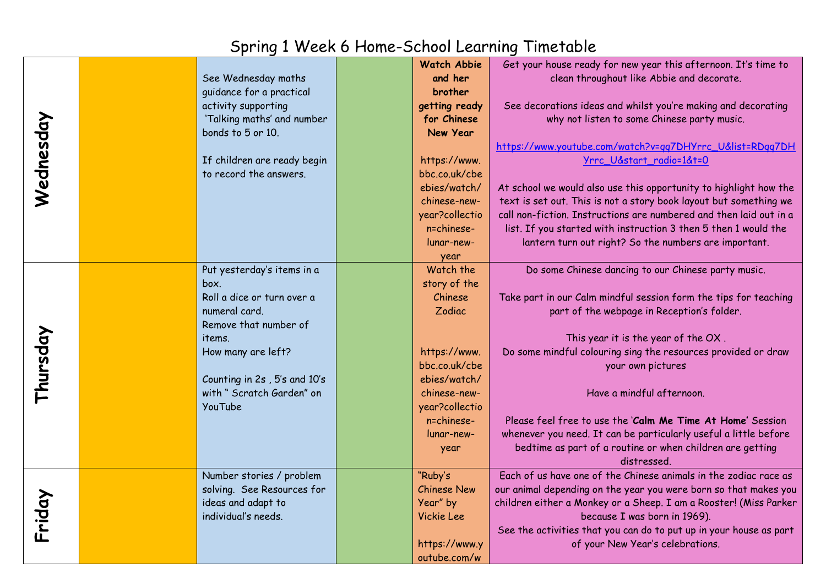## Spring 1 Week 6 Home-School Learning Timetable

|           |                              | <b>Watch Abbie</b> | Get your house ready for new year this afternoon. It's time to     |
|-----------|------------------------------|--------------------|--------------------------------------------------------------------|
|           | See Wednesday maths          | and her            | clean throughout like Abbie and decorate.                          |
|           | guidance for a practical     | brother            |                                                                    |
|           | activity supporting          | getting ready      | See decorations ideas and whilst you're making and decorating      |
|           | 'Talking maths' and number   | for Chinese        | why not listen to some Chinese party music.                        |
|           | bonds to 5 or 10.            | New Year           |                                                                    |
|           |                              |                    | https://www.youtube.com/watch?v=qq7DHYrrc_U&list=RDqq7DH           |
|           | If children are ready begin  | https://www.       | Yrrc_U&start_radio=1&t=0                                           |
|           | to record the answers.       | bbc.co.uk/cbe      |                                                                    |
| Wednesday |                              | ebies/watch/       | At school we would also use this opportunity to highlight how the  |
|           |                              | chinese-new-       | text is set out. This is not a story book layout but something we  |
|           |                              | year?collectio     | call non-fiction. Instructions are numbered and then laid out in a |
|           |                              | n=chinese-         | list. If you started with instruction 3 then 5 then 1 would the    |
|           |                              | lunar-new-         | lantern turn out right? So the numbers are important.              |
|           |                              | year               |                                                                    |
|           | Put yesterday's items in a   | Watch the          | Do some Chinese dancing to our Chinese party music.                |
|           | box.                         | story of the       |                                                                    |
|           | Roll a dice or turn over a   | Chinese            | Take part in our Calm mindful session form the tips for teaching   |
|           | numeral card.                | Zodiac             | part of the webpage in Reception's folder.                         |
|           | Remove that number of        |                    |                                                                    |
|           | items.                       |                    | This year it is the year of the OX.                                |
|           | How many are left?           | https://www.       | Do some mindful colouring sing the resources provided or draw      |
|           |                              | bbc.co.uk/cbe      | your own pictures                                                  |
|           | Counting in 2s, 5's and 10's | ebies/watch/       |                                                                    |
| Thursday  | with "Scratch Garden" on     | chinese-new-       | Have a mindful afternoon.                                          |
|           | YouTube                      | year?collectio     |                                                                    |
|           |                              | n=chinese-         | Please feel free to use the 'Calm Me Time At Home' Session         |
|           |                              | lunar-new-         | whenever you need. It can be particularly useful a little before   |
|           |                              | year               | bedtime as part of a routine or when children are getting          |
|           |                              |                    | distressed.                                                        |
|           | Number stories / problem     | "Ruby's            | Each of us have one of the Chinese animals in the zodiac race as   |
|           | solving. See Resources for   | <b>Chinese New</b> | our animal depending on the year you were born so that makes you   |
|           | ideas and adapt to           | Year" by           | children either a Monkey or a Sheep. I am a Rooster! (Miss Parker  |
| Friday    | individual's needs.          | Vickie Lee         | because I was born in 1969).                                       |
|           |                              |                    | See the activities that you can do to put up in your house as part |
|           |                              | https://www.y      | of your New Year's celebrations.                                   |
|           |                              | outube.com/w       |                                                                    |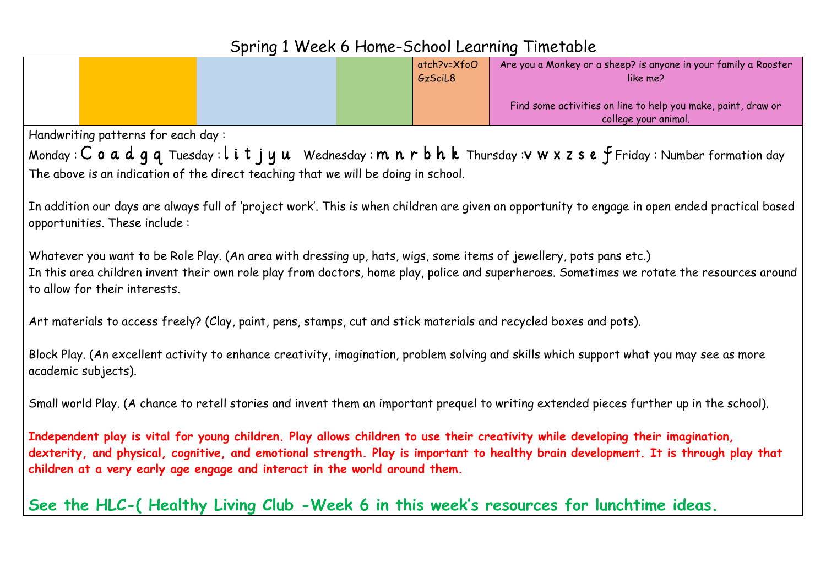|                                                                                                                                                                                                                                                                                                                                                     |  |  | atch?v=XfoO<br>GzSciL8 | Are you a Monkey or a sheep? is anyone in your family a Rooster<br>like me?                                                                |  |  |
|-----------------------------------------------------------------------------------------------------------------------------------------------------------------------------------------------------------------------------------------------------------------------------------------------------------------------------------------------------|--|--|------------------------|--------------------------------------------------------------------------------------------------------------------------------------------|--|--|
|                                                                                                                                                                                                                                                                                                                                                     |  |  |                        | Find some activities on line to help you make, paint, draw or<br>college your animal.                                                      |  |  |
| Handwriting patterns for each day:                                                                                                                                                                                                                                                                                                                  |  |  |                        |                                                                                                                                            |  |  |
|                                                                                                                                                                                                                                                                                                                                                     |  |  |                        | Monday: $C$ 0 a d q q Tuesday: $l$ i t j y u Wednesday: $m$ n r b h k Thursday: $v$ w x z s e f Friday: Number formation day               |  |  |
| The above is an indication of the direct teaching that we will be doing in school.                                                                                                                                                                                                                                                                  |  |  |                        |                                                                                                                                            |  |  |
|                                                                                                                                                                                                                                                                                                                                                     |  |  |                        |                                                                                                                                            |  |  |
| In addition our days are always full of 'project work'. This is when children are given an opportunity to engage in open ended practical based<br>opportunities. These include:                                                                                                                                                                     |  |  |                        |                                                                                                                                            |  |  |
| Whatever you want to be Role Play. (An area with dressing up, hats, wigs, some items of jewellery, pots pans etc.)<br>to allow for their interests.                                                                                                                                                                                                 |  |  |                        | In this area children invent their own role play from doctors, home play, police and superheroes. Sometimes we rotate the resources around |  |  |
| Art materials to access freely? (Clay, paint, pens, stamps, cut and stick materials and recycled boxes and pots).                                                                                                                                                                                                                                   |  |  |                        |                                                                                                                                            |  |  |
| Block Play. (An excellent activity to enhance creativity, imagination, problem solving and skills which support what you may see as more<br>academic subjects).                                                                                                                                                                                     |  |  |                        |                                                                                                                                            |  |  |
| Small world Play. (A chance to retell stories and invent them an important prequel to writing extended pieces further up in the school).                                                                                                                                                                                                            |  |  |                        |                                                                                                                                            |  |  |
| Independent play is vital for young children. Play allows children to use their creativity while developing their imagination,<br>dexterity, and physical, cognitive, and emotional strength. Play is important to healthy brain development. It is through play that<br>children at a very early age engage and interact in the world around them. |  |  |                        |                                                                                                                                            |  |  |
|                                                                                                                                                                                                                                                                                                                                                     |  |  |                        | See the HLC-(Healthy Living Club -Week 6 in this week's resources for lunchtime ideas.                                                     |  |  |